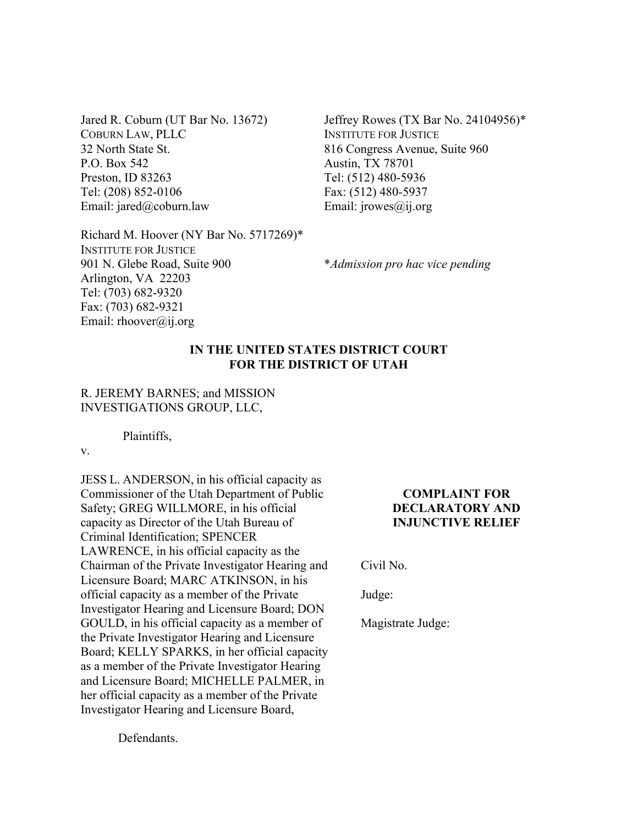Jared R. Coburn (UT Bar No. 13672) COBURN LAW, PLLC 32 North State St. P.O. Box 542 Preston, ID 83263 Tel: (208) 852-0106 Email: jared@coburn.law

Jeffrey Rowes (TX Bar No. 24104956)\* INSTITUTE FOR JUSTICE 816 Congress Avenue, Suite 960 Austin, TX 78701 Tel: (512) 480-5936 Fax: (512) 480-5937 Email: jrowes@ij.org

Richard M. Hoover (NY Bar No. 5717269)\* INSTITUTE FOR JUSTICE 901 N. Glebe Road, Suite 900 Arlington, VA 22203 Tel: (703) 682-9320 Fax: (703) 682-9321 Email: rhoover@ij.org

\**Admission pro hac vice pending* 

# **IN THE UNITED STATES DISTRICT COURT FOR THE DISTRICT OF UTAH**

### R. JEREMY BARNES; and MISSION INVESTIGATIONS GROUP, LLC,

Plaintiffs,

v.

JESS L. ANDERSON, in his official capacity as Commissioner of the Utah Department of Public Safety; GREG WILLMORE, in his official capacity as Director of the Utah Bureau of Criminal Identification; SPENCER LAWRENCE, in his official capacity as the Chairman of the Private Investigator Hearing and Licensure Board; MARC ATKINSON, in his official capacity as a member of the Private Investigator Hearing and Licensure Board; DON GOULD, in his official capacity as a member of the Private Investigator Hearing and Licensure Board; KELLY SPARKS, in her official capacity as a member of the Private Investigator Hearing and Licensure Board; MICHELLE PALMER, in her official capacity as a member of the Private Investigator Hearing and Licensure Board,

# **COMPLAINT FOR DECLARATORY AND INJUNCTIVE RELIEF**

Civil No.

Judge:

Magistrate Judge:

Defendants.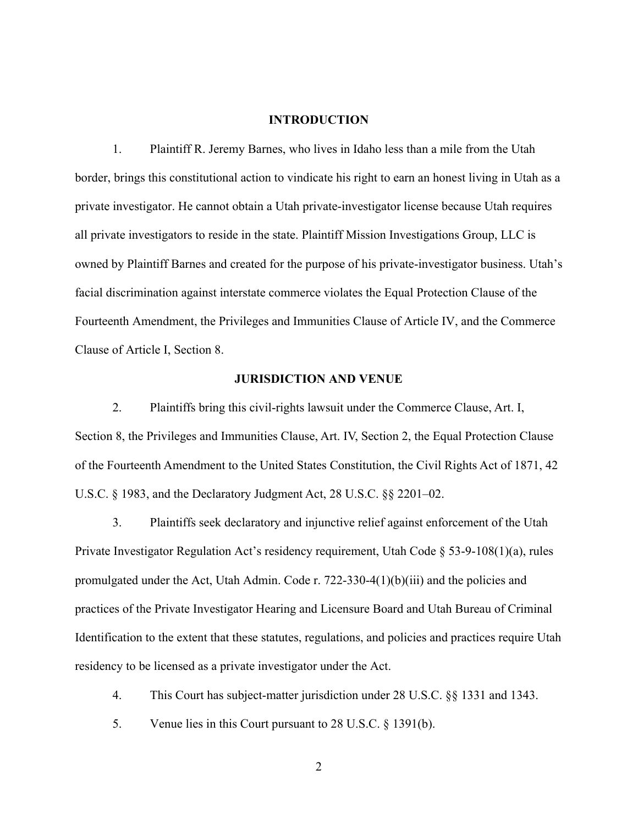## **INTRODUCTION**

1. Plaintiff R. Jeremy Barnes, who lives in Idaho less than a mile from the Utah border, brings this constitutional action to vindicate his right to earn an honest living in Utah as a private investigator. He cannot obtain a Utah private-investigator license because Utah requires all private investigators to reside in the state. Plaintiff Mission Investigations Group, LLC is owned by Plaintiff Barnes and created for the purpose of his private-investigator business. Utah's facial discrimination against interstate commerce violates the Equal Protection Clause of the Fourteenth Amendment, the Privileges and Immunities Clause of Article IV, and the Commerce Clause of Article I, Section 8.

## **JURISDICTION AND VENUE**

2. Plaintiffs bring this civil-rights lawsuit under the Commerce Clause, Art. I, Section 8, the Privileges and Immunities Clause, Art. IV, Section 2, the Equal Protection Clause of the Fourteenth Amendment to the United States Constitution, the Civil Rights Act of 1871, 42 U.S.C. § 1983, and the Declaratory Judgment Act, 28 U.S.C. §§ 2201–02.

3. Plaintiffs seek declaratory and injunctive relief against enforcement of the Utah Private Investigator Regulation Act's residency requirement, Utah Code § 53-9-108(1)(a), rules promulgated under the Act, Utah Admin. Code r. 722-330-4(1)(b)(iii) and the policies and practices of the Private Investigator Hearing and Licensure Board and Utah Bureau of Criminal Identification to the extent that these statutes, regulations, and policies and practices require Utah residency to be licensed as a private investigator under the Act.

- 4. This Court has subject-matter jurisdiction under 28 U.S.C. §§ 1331 and 1343.
- 5. Venue lies in this Court pursuant to 28 U.S.C. § 1391(b).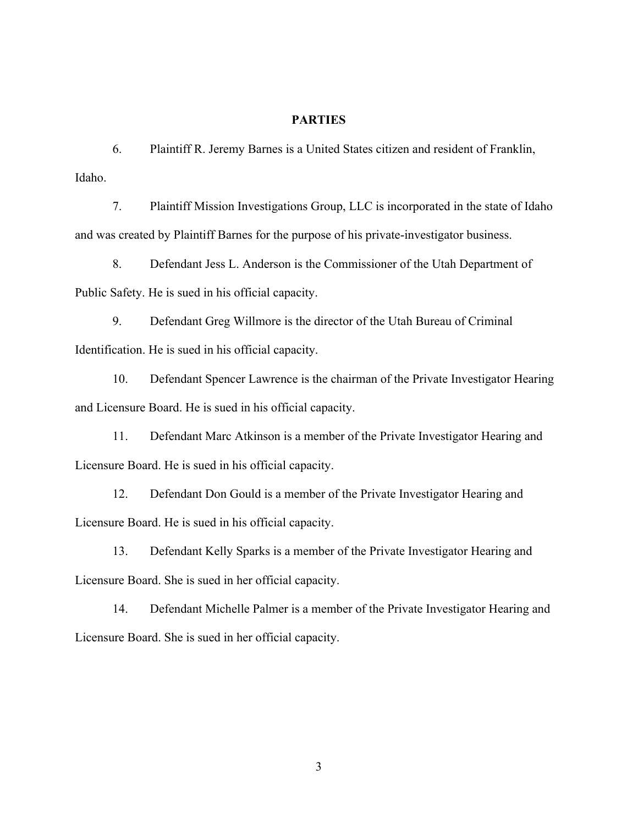## **PARTIES**

6. Plaintiff R. Jeremy Barnes is a United States citizen and resident of Franklin, Idaho.

7. Plaintiff Mission Investigations Group, LLC is incorporated in the state of Idaho and was created by Plaintiff Barnes for the purpose of his private-investigator business.

8. Defendant Jess L. Anderson is the Commissioner of the Utah Department of Public Safety. He is sued in his official capacity.

9. Defendant Greg Willmore is the director of the Utah Bureau of Criminal Identification. He is sued in his official capacity.

10. Defendant Spencer Lawrence is the chairman of the Private Investigator Hearing and Licensure Board. He is sued in his official capacity.

11. Defendant Marc Atkinson is a member of the Private Investigator Hearing and Licensure Board. He is sued in his official capacity.

12. Defendant Don Gould is a member of the Private Investigator Hearing and Licensure Board. He is sued in his official capacity.

13. Defendant Kelly Sparks is a member of the Private Investigator Hearing and Licensure Board. She is sued in her official capacity.

14. Defendant Michelle Palmer is a member of the Private Investigator Hearing and Licensure Board. She is sued in her official capacity.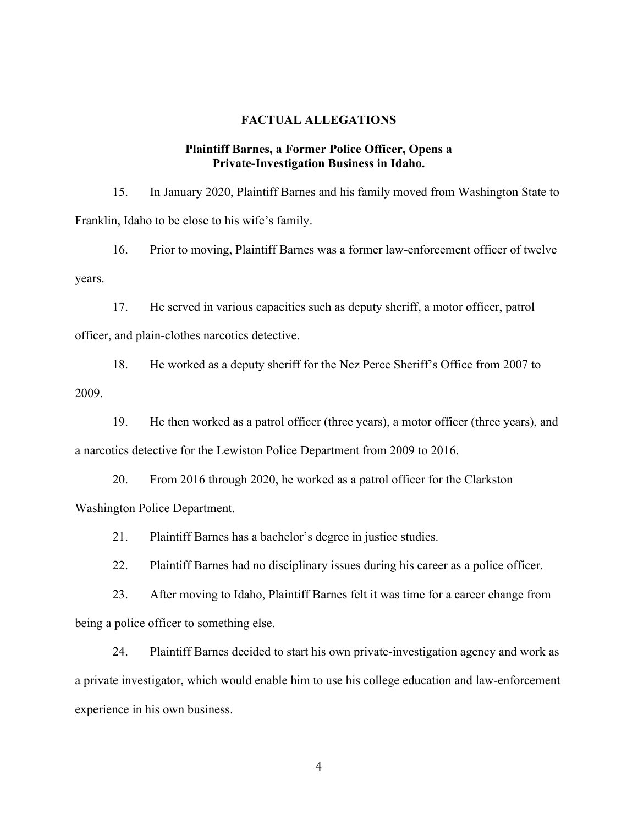## **FACTUAL ALLEGATIONS**

### **Plaintiff Barnes, a Former Police Officer, Opens a Private-Investigation Business in Idaho.**

15. In January 2020, Plaintiff Barnes and his family moved from Washington State to Franklin, Idaho to be close to his wife's family.

16. Prior to moving, Plaintiff Barnes was a former law-enforcement officer of twelve years.

17. He served in various capacities such as deputy sheriff, a motor officer, patrol officer, and plain-clothes narcotics detective.

18. He worked as a deputy sheriff for the Nez Perce Sheriff's Office from 2007 to 2009.

19. He then worked as a patrol officer (three years), a motor officer (three years), and a narcotics detective for the Lewiston Police Department from 2009 to 2016.

20. From 2016 through 2020, he worked as a patrol officer for the Clarkston Washington Police Department.

21. Plaintiff Barnes has a bachelor's degree in justice studies.

22. Plaintiff Barnes had no disciplinary issues during his career as a police officer.

23. After moving to Idaho, Plaintiff Barnes felt it was time for a career change from being a police officer to something else.

24. Plaintiff Barnes decided to start his own private-investigation agency and work as a private investigator, which would enable him to use his college education and law-enforcement experience in his own business.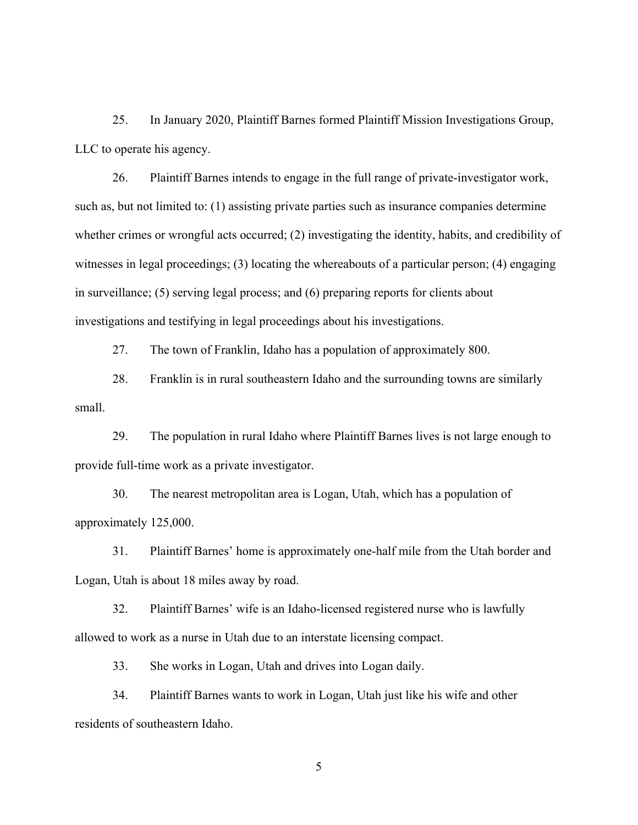25. In January 2020, Plaintiff Barnes formed Plaintiff Mission Investigations Group, LLC to operate his agency.

26. Plaintiff Barnes intends to engage in the full range of private-investigator work, such as, but not limited to: (1) assisting private parties such as insurance companies determine whether crimes or wrongful acts occurred; (2) investigating the identity, habits, and credibility of witnesses in legal proceedings; (3) locating the whereabouts of a particular person; (4) engaging in surveillance; (5) serving legal process; and (6) preparing reports for clients about investigations and testifying in legal proceedings about his investigations.

27. The town of Franklin, Idaho has a population of approximately 800.

28. Franklin is in rural southeastern Idaho and the surrounding towns are similarly small.

29. The population in rural Idaho where Plaintiff Barnes lives is not large enough to provide full-time work as a private investigator.

30. The nearest metropolitan area is Logan, Utah, which has a population of approximately 125,000.

31. Plaintiff Barnes' home is approximately one-half mile from the Utah border and Logan, Utah is about 18 miles away by road.

32. Plaintiff Barnes' wife is an Idaho-licensed registered nurse who is lawfully allowed to work as a nurse in Utah due to an interstate licensing compact.

33. She works in Logan, Utah and drives into Logan daily.

34. Plaintiff Barnes wants to work in Logan, Utah just like his wife and other residents of southeastern Idaho.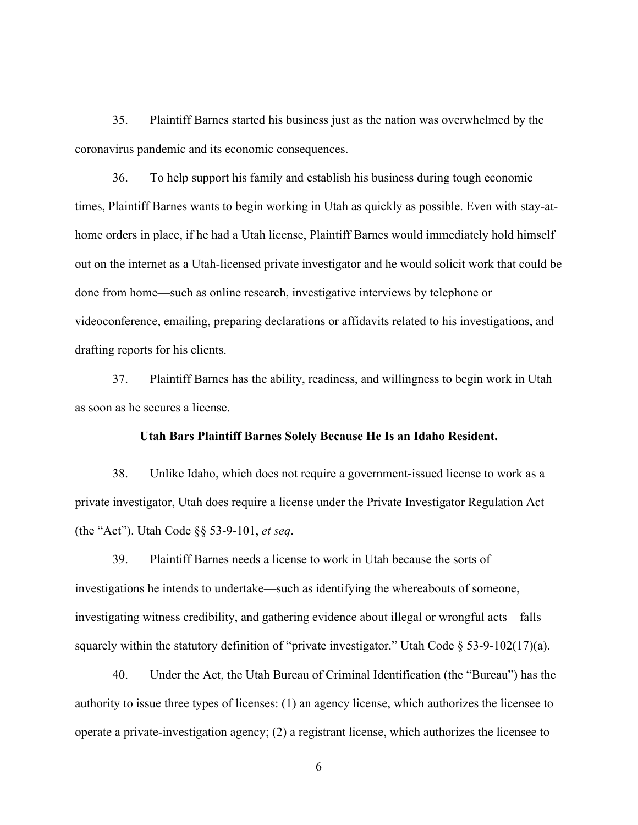35. Plaintiff Barnes started his business just as the nation was overwhelmed by the coronavirus pandemic and its economic consequences.

36. To help support his family and establish his business during tough economic times, Plaintiff Barnes wants to begin working in Utah as quickly as possible. Even with stay-athome orders in place, if he had a Utah license, Plaintiff Barnes would immediately hold himself out on the internet as a Utah-licensed private investigator and he would solicit work that could be done from home—such as online research, investigative interviews by telephone or videoconference, emailing, preparing declarations or affidavits related to his investigations, and drafting reports for his clients.

37. Plaintiff Barnes has the ability, readiness, and willingness to begin work in Utah as soon as he secures a license.

#### **Utah Bars Plaintiff Barnes Solely Because He Is an Idaho Resident.**

38. Unlike Idaho, which does not require a government-issued license to work as a private investigator, Utah does require a license under the Private Investigator Regulation Act (the "Act"). Utah Code §§ 53-9-101, *et seq*.

39. Plaintiff Barnes needs a license to work in Utah because the sorts of investigations he intends to undertake—such as identifying the whereabouts of someone, investigating witness credibility, and gathering evidence about illegal or wrongful acts—falls squarely within the statutory definition of "private investigator." Utah Code § 53-9-102(17)(a).

40. Under the Act, the Utah Bureau of Criminal Identification (the "Bureau") has the authority to issue three types of licenses: (1) an agency license, which authorizes the licensee to operate a private-investigation agency; (2) a registrant license, which authorizes the licensee to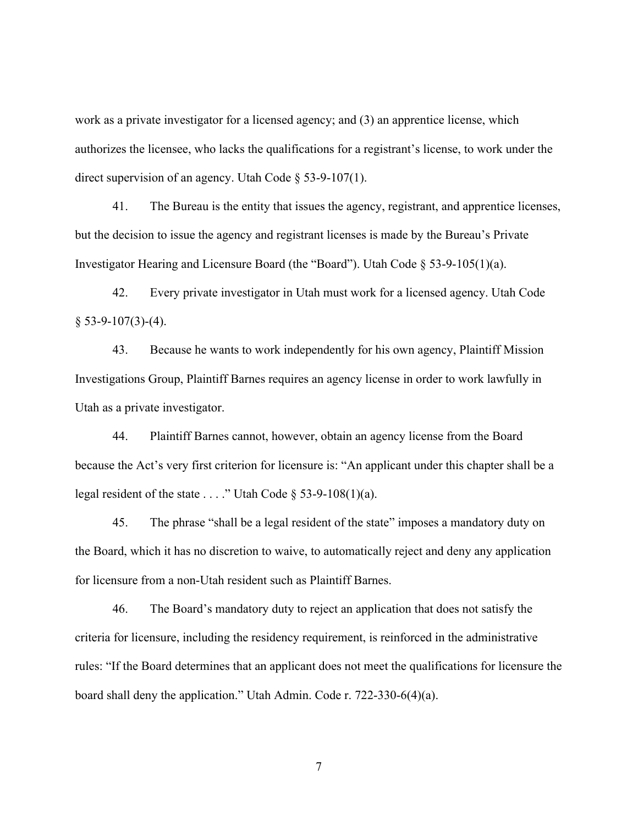work as a private investigator for a licensed agency; and (3) an apprentice license, which authorizes the licensee, who lacks the qualifications for a registrant's license, to work under the direct supervision of an agency. Utah Code § 53-9-107(1).

41. The Bureau is the entity that issues the agency, registrant, and apprentice licenses, but the decision to issue the agency and registrant licenses is made by the Bureau's Private Investigator Hearing and Licensure Board (the "Board"). Utah Code § 53-9-105(1)(a).

42. Every private investigator in Utah must work for a licensed agency. Utah Code  $§ 53-9-107(3)-(4).$ 

43. Because he wants to work independently for his own agency, Plaintiff Mission Investigations Group, Plaintiff Barnes requires an agency license in order to work lawfully in Utah as a private investigator.

44. Plaintiff Barnes cannot, however, obtain an agency license from the Board because the Act's very first criterion for licensure is: "An applicant under this chapter shall be a legal resident of the state . . . ." Utah Code  $\S$  53-9-108(1)(a).

45. The phrase "shall be a legal resident of the state" imposes a mandatory duty on the Board, which it has no discretion to waive, to automatically reject and deny any application for licensure from a non-Utah resident such as Plaintiff Barnes.

46. The Board's mandatory duty to reject an application that does not satisfy the criteria for licensure, including the residency requirement, is reinforced in the administrative rules: "If the Board determines that an applicant does not meet the qualifications for licensure the board shall deny the application." Utah Admin. Code r. 722-330-6(4)(a).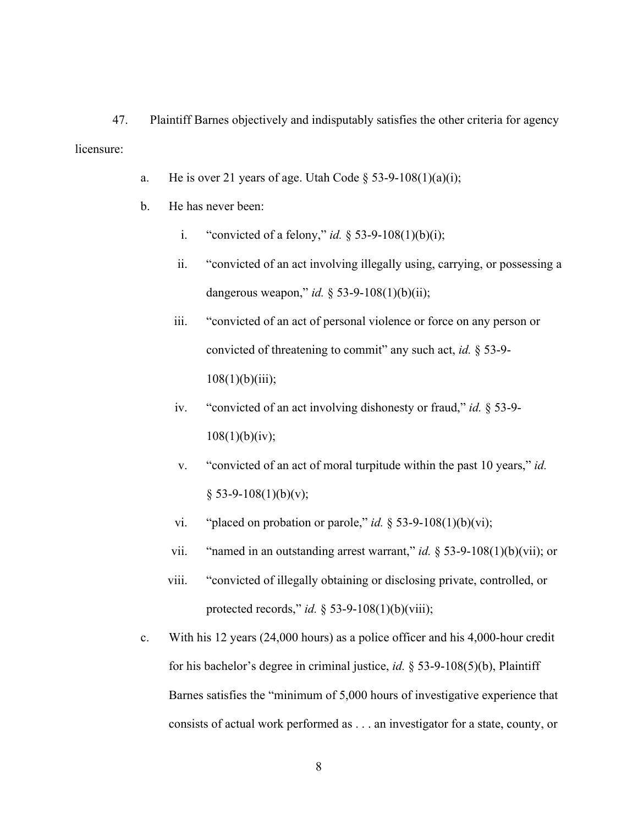47. Plaintiff Barnes objectively and indisputably satisfies the other criteria for agency licensure:

- a. He is over 21 years of age. Utah Code  $\S$  53-9-108(1)(a)(i);
- b. He has never been:
	- i. "convicted of a felony," *id.*  $\S$  53-9-108(1)(b)(i);
	- ii. "convicted of an act involving illegally using, carrying, or possessing a dangerous weapon," *id.* § 53-9-108(1)(b)(ii);
	- iii. "convicted of an act of personal violence or force on any person or convicted of threatening to commit" any such act, *id.* § 53-9-  $108(1)(b)(iii);$
	- iv. "convicted of an act involving dishonesty or fraud," *id.* § 53-9-  $108(1)(b)(iv);$
	- v. "convicted of an act of moral turpitude within the past 10 years," *id.*  $§$  53-9-108(1)(b)(v);
	- vi. "placed on probation or parole," *id.*  $\S$  53-9-108(1)(b)(vi);
	- vii. "named in an outstanding arrest warrant," *id.* § 53-9-108(1)(b)(vii); or
	- viii. "convicted of illegally obtaining or disclosing private, controlled, or protected records," *id.* § 53-9-108(1)(b)(viii);
- c. With his 12 years (24,000 hours) as a police officer and his 4,000-hour credit for his bachelor's degree in criminal justice, *id.* § 53-9-108(5)(b), Plaintiff Barnes satisfies the "minimum of 5,000 hours of investigative experience that consists of actual work performed as . . . an investigator for a state, county, or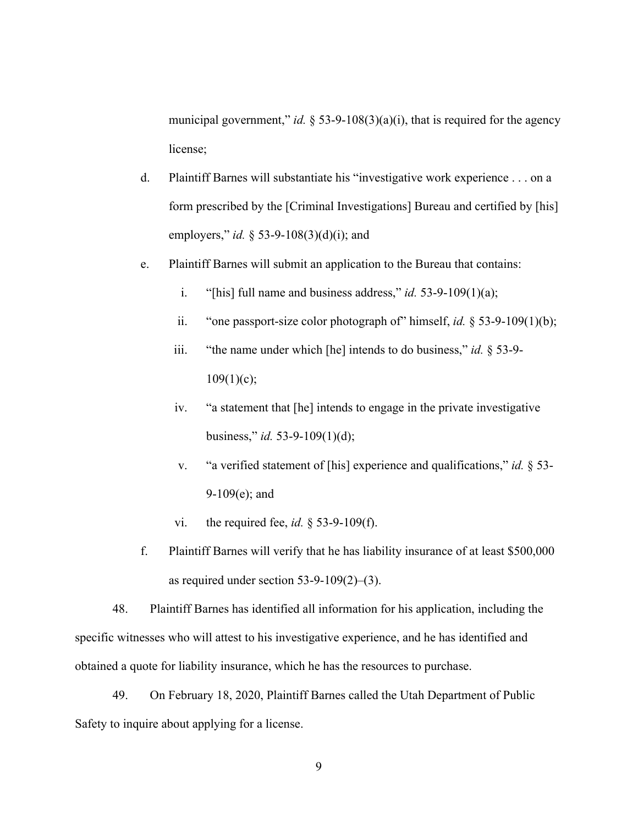municipal government," *id.*  $\S$  53-9-108(3)(a)(i), that is required for the agency license;

- d. Plaintiff Barnes will substantiate his "investigative work experience . . . on a form prescribed by the [Criminal Investigations] Bureau and certified by [his] employers," *id.* § 53-9-108(3)(d)(i); and
- e. Plaintiff Barnes will submit an application to the Bureau that contains:
	- i. "[his] full name and business address," *id.* 53-9-109(1)(a);
	- ii. "one passport-size color photograph of" himself, *id.* § 53-9-109(1)(b);
	- iii. "the name under which [he] intends to do business," *id.* § 53-9-  $109(1)(c);$
	- iv. "a statement that [he] intends to engage in the private investigative business," *id.* 53-9-109(1)(d);
	- v. "a verified statement of [his] experience and qualifications," *id.* § 53- 9-109(e); and
	- vi. the required fee, *id.* § 53-9-109(f).
- f. Plaintiff Barnes will verify that he has liability insurance of at least \$500,000 as required under section 53-9-109(2)–(3).

48. Plaintiff Barnes has identified all information for his application, including the specific witnesses who will attest to his investigative experience, and he has identified and obtained a quote for liability insurance, which he has the resources to purchase.

49. On February 18, 2020, Plaintiff Barnes called the Utah Department of Public Safety to inquire about applying for a license.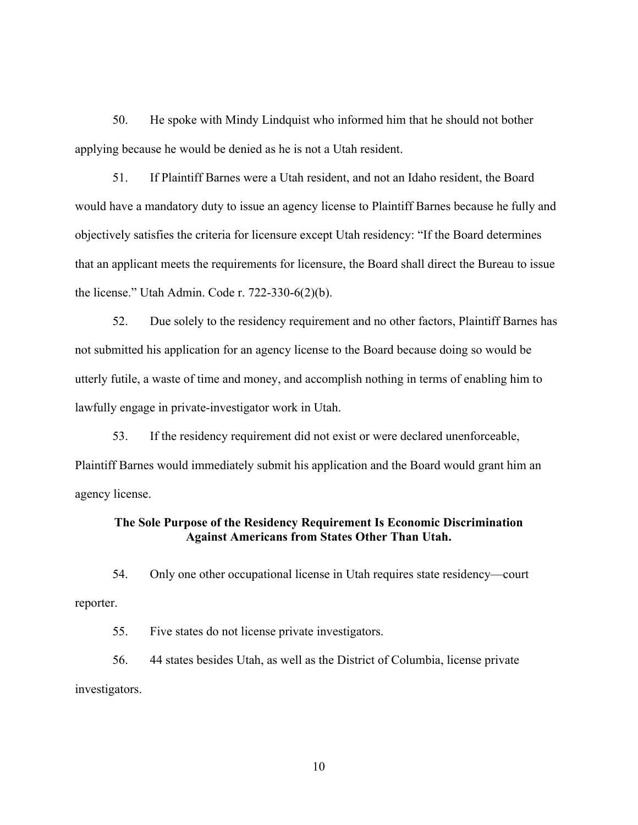50. He spoke with Mindy Lindquist who informed him that he should not bother applying because he would be denied as he is not a Utah resident.

51. If Plaintiff Barnes were a Utah resident, and not an Idaho resident, the Board would have a mandatory duty to issue an agency license to Plaintiff Barnes because he fully and objectively satisfies the criteria for licensure except Utah residency: "If the Board determines that an applicant meets the requirements for licensure, the Board shall direct the Bureau to issue the license." Utah Admin. Code r. 722-330-6(2)(b).

52. Due solely to the residency requirement and no other factors, Plaintiff Barnes has not submitted his application for an agency license to the Board because doing so would be utterly futile, a waste of time and money, and accomplish nothing in terms of enabling him to lawfully engage in private-investigator work in Utah.

53. If the residency requirement did not exist or were declared unenforceable, Plaintiff Barnes would immediately submit his application and the Board would grant him an agency license.

# **The Sole Purpose of the Residency Requirement Is Economic Discrimination Against Americans from States Other Than Utah.**

54. Only one other occupational license in Utah requires state residency—court reporter.

55. Five states do not license private investigators.

56. 44 states besides Utah, as well as the District of Columbia, license private investigators.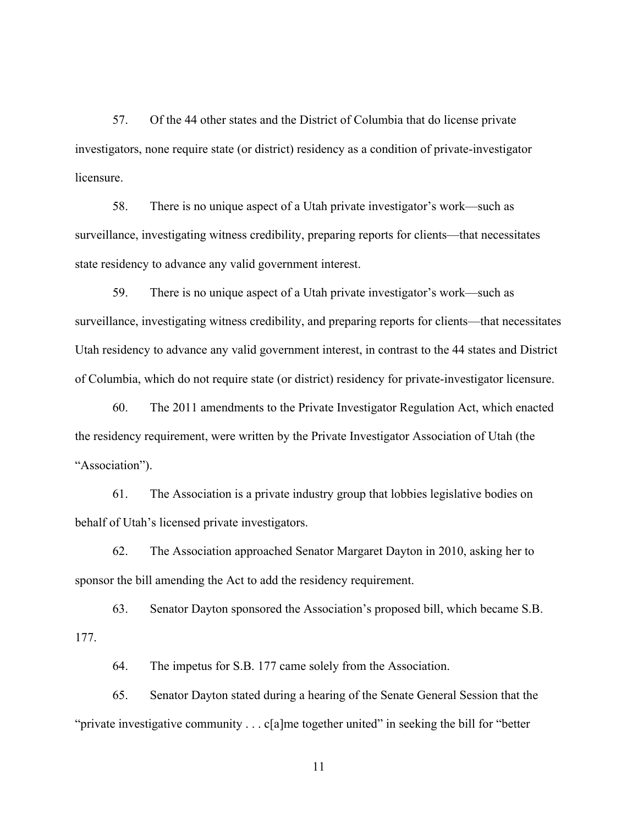57. Of the 44 other states and the District of Columbia that do license private investigators, none require state (or district) residency as a condition of private-investigator licensure.

58. There is no unique aspect of a Utah private investigator's work—such as surveillance, investigating witness credibility, preparing reports for clients—that necessitates state residency to advance any valid government interest.

59. There is no unique aspect of a Utah private investigator's work—such as surveillance, investigating witness credibility, and preparing reports for clients—that necessitates Utah residency to advance any valid government interest, in contrast to the 44 states and District of Columbia, which do not require state (or district) residency for private-investigator licensure.

60. The 2011 amendments to the Private Investigator Regulation Act, which enacted the residency requirement, were written by the Private Investigator Association of Utah (the "Association").

61. The Association is a private industry group that lobbies legislative bodies on behalf of Utah's licensed private investigators.

62. The Association approached Senator Margaret Dayton in 2010, asking her to sponsor the bill amending the Act to add the residency requirement.

63. Senator Dayton sponsored the Association's proposed bill, which became S.B. 177.

64. The impetus for S.B. 177 came solely from the Association.

65. Senator Dayton stated during a hearing of the Senate General Session that the "private investigative community  $\ldots$  c[a]me together united" in seeking the bill for "better"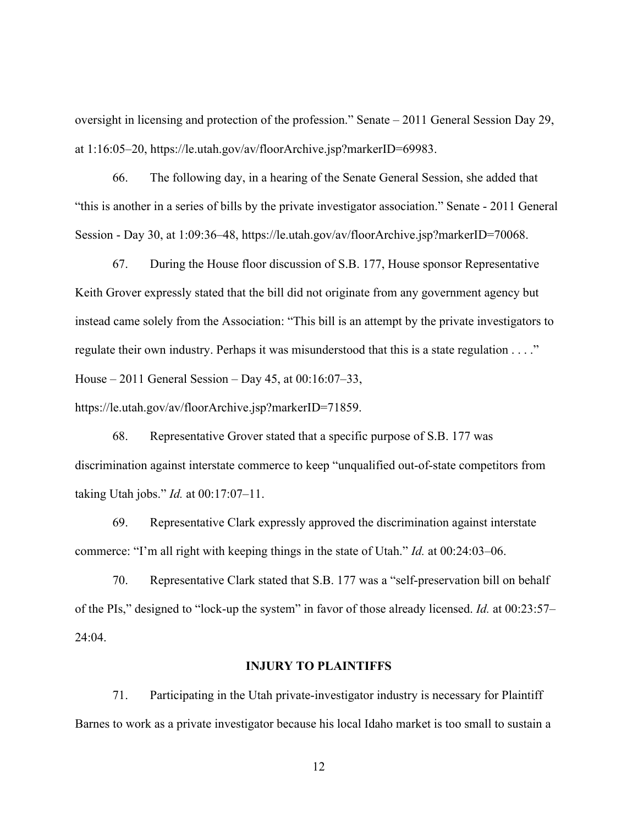oversight in licensing and protection of the profession." Senate – 2011 General Session Day 29, at 1:16:05–20, https://le.utah.gov/av/floorArchive.jsp?markerID=69983.

66. The following day, in a hearing of the Senate General Session, she added that "this is another in a series of bills by the private investigator association." Senate - 2011 General Session - Day 30, at 1:09:36–48, https://le.utah.gov/av/floorArchive.jsp?markerID=70068.

67. During the House floor discussion of S.B. 177, House sponsor Representative Keith Grover expressly stated that the bill did not originate from any government agency but instead came solely from the Association: "This bill is an attempt by the private investigators to regulate their own industry. Perhaps it was misunderstood that this is a state regulation . . . ." House – 2011 General Session – Day 45, at 00:16:07–33,

https://le.utah.gov/av/floorArchive.jsp?markerID=71859.

68. Representative Grover stated that a specific purpose of S.B. 177 was discrimination against interstate commerce to keep "unqualified out-of-state competitors from taking Utah jobs." *Id.* at 00:17:07–11.

69. Representative Clark expressly approved the discrimination against interstate commerce: "I'm all right with keeping things in the state of Utah." *Id.* at 00:24:03–06.

70. Representative Clark stated that S.B. 177 was a "self-preservation bill on behalf of the PIs," designed to "lock-up the system" in favor of those already licensed. *Id.* at 00:23:57– 24:04.

#### **INJURY TO PLAINTIFFS**

71. Participating in the Utah private-investigator industry is necessary for Plaintiff Barnes to work as a private investigator because his local Idaho market is too small to sustain a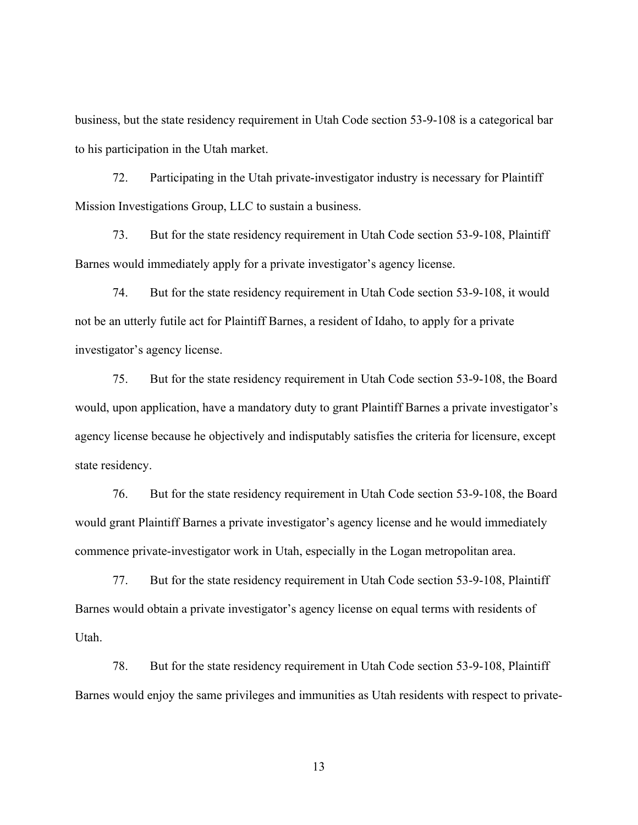business, but the state residency requirement in Utah Code section 53-9-108 is a categorical bar to his participation in the Utah market.

72. Participating in the Utah private-investigator industry is necessary for Plaintiff Mission Investigations Group, LLC to sustain a business.

73. But for the state residency requirement in Utah Code section 53-9-108, Plaintiff Barnes would immediately apply for a private investigator's agency license.

74. But for the state residency requirement in Utah Code section 53-9-108, it would not be an utterly futile act for Plaintiff Barnes, a resident of Idaho, to apply for a private investigator's agency license.

75. But for the state residency requirement in Utah Code section 53-9-108, the Board would, upon application, have a mandatory duty to grant Plaintiff Barnes a private investigator's agency license because he objectively and indisputably satisfies the criteria for licensure, except state residency.

76. But for the state residency requirement in Utah Code section 53-9-108, the Board would grant Plaintiff Barnes a private investigator's agency license and he would immediately commence private-investigator work in Utah, especially in the Logan metropolitan area.

77. But for the state residency requirement in Utah Code section 53-9-108, Plaintiff Barnes would obtain a private investigator's agency license on equal terms with residents of Utah.

78. But for the state residency requirement in Utah Code section 53-9-108, Plaintiff Barnes would enjoy the same privileges and immunities as Utah residents with respect to private-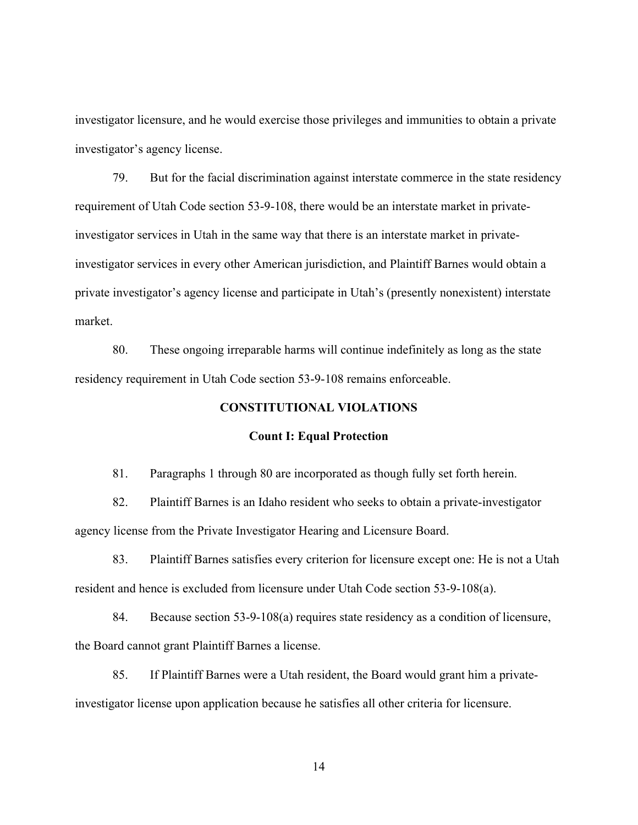investigator licensure, and he would exercise those privileges and immunities to obtain a private investigator's agency license.

79. But for the facial discrimination against interstate commerce in the state residency requirement of Utah Code section 53-9-108, there would be an interstate market in privateinvestigator services in Utah in the same way that there is an interstate market in privateinvestigator services in every other American jurisdiction, and Plaintiff Barnes would obtain a private investigator's agency license and participate in Utah's (presently nonexistent) interstate market.

80. These ongoing irreparable harms will continue indefinitely as long as the state residency requirement in Utah Code section 53-9-108 remains enforceable.

## **CONSTITUTIONAL VIOLATIONS**

#### **Count I: Equal Protection**

81. Paragraphs 1 through 80 are incorporated as though fully set forth herein.

82. Plaintiff Barnes is an Idaho resident who seeks to obtain a private-investigator agency license from the Private Investigator Hearing and Licensure Board.

83. Plaintiff Barnes satisfies every criterion for licensure except one: He is not a Utah resident and hence is excluded from licensure under Utah Code section 53-9-108(a).

84. Because section 53-9-108(a) requires state residency as a condition of licensure, the Board cannot grant Plaintiff Barnes a license.

85. If Plaintiff Barnes were a Utah resident, the Board would grant him a privateinvestigator license upon application because he satisfies all other criteria for licensure.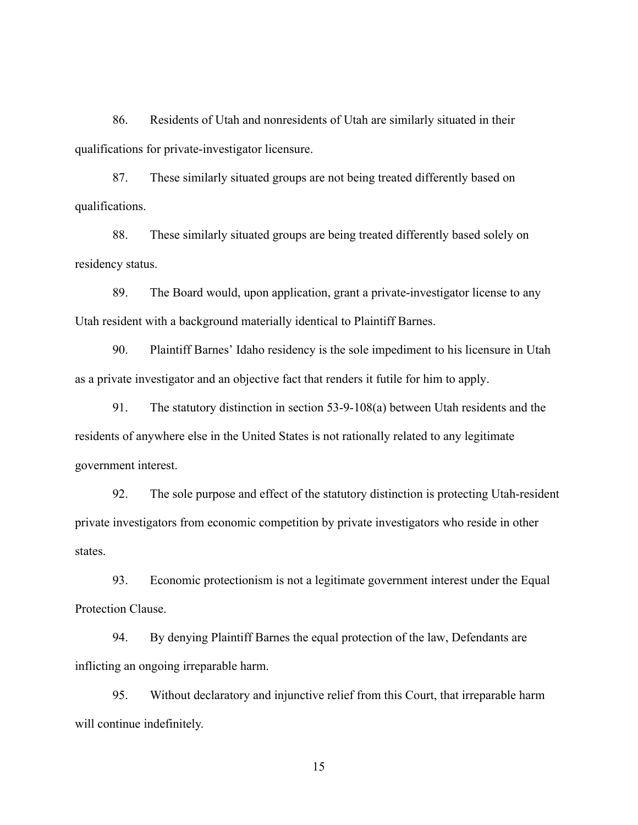86. Residents of Utah and nonresidents of Utah are similarly situated in their qualifications for private-investigator licensure.

87. These similarly situated groups are not being treated differently based on qualifications.

88. These similarly situated groups are being treated differently based solely on residency status.

89. The Board would, upon application, grant a private-investigator license to any Utah resident with a background materially identical to Plaintiff Barnes.

90. Plaintiff Barnes' Idaho residency is the sole impediment to his licensure in Utah as a private investigator and an objective fact that renders it futile for him to apply.

91. The statutory distinction in section 53-9-108(a) between Utah residents and the residents of anywhere else in the United States is not rationally related to any legitimate government interest.

92. The sole purpose and effect of the statutory distinction is protecting Utah-resident private investigators from economic competition by private investigators who reside in other states.

93. Economic protectionism is not a legitimate government interest under the Equal Protection Clause.

94. By denying Plaintiff Barnes the equal protection of the law, Defendants are inflicting an ongoing irreparable harm.

95. Without declaratory and injunctive relief from this Court, that irreparable harm will continue indefinitely.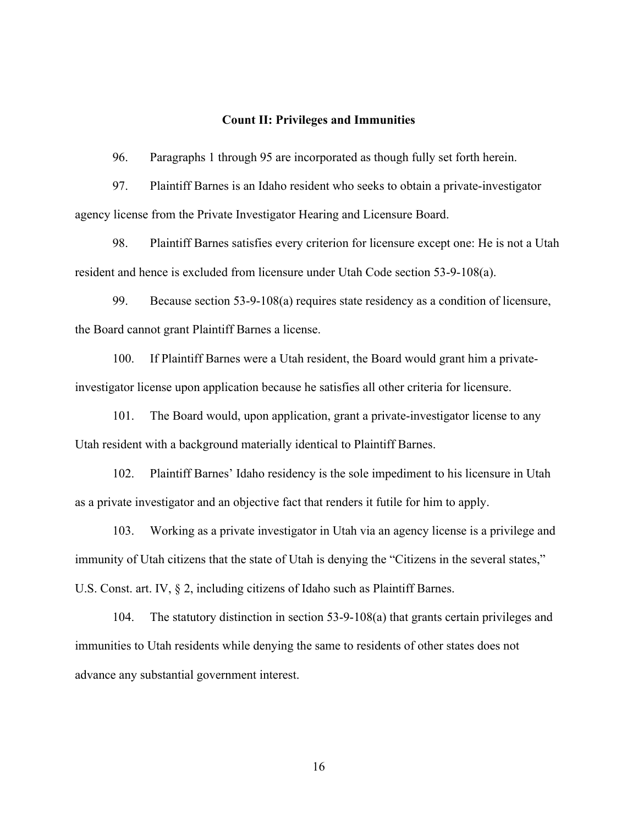#### **Count II: Privileges and Immunities**

96. Paragraphs 1 through 95 are incorporated as though fully set forth herein.

97. Plaintiff Barnes is an Idaho resident who seeks to obtain a private-investigator agency license from the Private Investigator Hearing and Licensure Board.

98. Plaintiff Barnes satisfies every criterion for licensure except one: He is not a Utah resident and hence is excluded from licensure under Utah Code section 53-9-108(a).

99. Because section 53-9-108(a) requires state residency as a condition of licensure, the Board cannot grant Plaintiff Barnes a license.

100. If Plaintiff Barnes were a Utah resident, the Board would grant him a privateinvestigator license upon application because he satisfies all other criteria for licensure.

101. The Board would, upon application, grant a private-investigator license to any Utah resident with a background materially identical to Plaintiff Barnes.

102. Plaintiff Barnes' Idaho residency is the sole impediment to his licensure in Utah as a private investigator and an objective fact that renders it futile for him to apply.

103. Working as a private investigator in Utah via an agency license is a privilege and immunity of Utah citizens that the state of Utah is denying the "Citizens in the several states," U.S. Const. art. IV, § 2, including citizens of Idaho such as Plaintiff Barnes.

104. The statutory distinction in section 53-9-108(a) that grants certain privileges and immunities to Utah residents while denying the same to residents of other states does not advance any substantial government interest.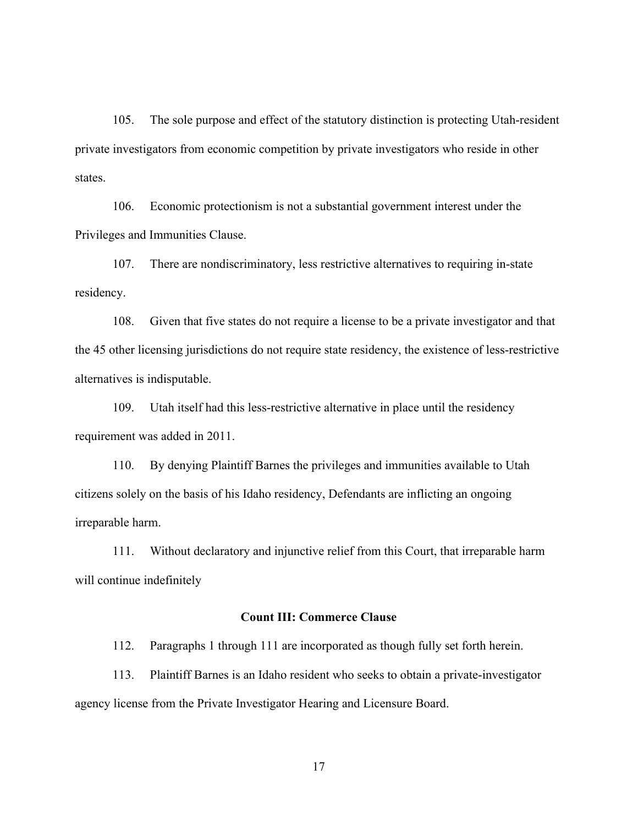105. The sole purpose and effect of the statutory distinction is protecting Utah-resident private investigators from economic competition by private investigators who reside in other states.

106. Economic protectionism is not a substantial government interest under the Privileges and Immunities Clause.

107. There are nondiscriminatory, less restrictive alternatives to requiring in-state residency.

108. Given that five states do not require a license to be a private investigator and that the 45 other licensing jurisdictions do not require state residency, the existence of less-restrictive alternatives is indisputable.

109. Utah itself had this less-restrictive alternative in place until the residency requirement was added in 2011.

110. By denying Plaintiff Barnes the privileges and immunities available to Utah citizens solely on the basis of his Idaho residency, Defendants are inflicting an ongoing irreparable harm.

111. Without declaratory and injunctive relief from this Court, that irreparable harm will continue indefinitely

### **Count III: Commerce Clause**

112. Paragraphs 1 through 111 are incorporated as though fully set forth herein.

113. Plaintiff Barnes is an Idaho resident who seeks to obtain a private-investigator agency license from the Private Investigator Hearing and Licensure Board.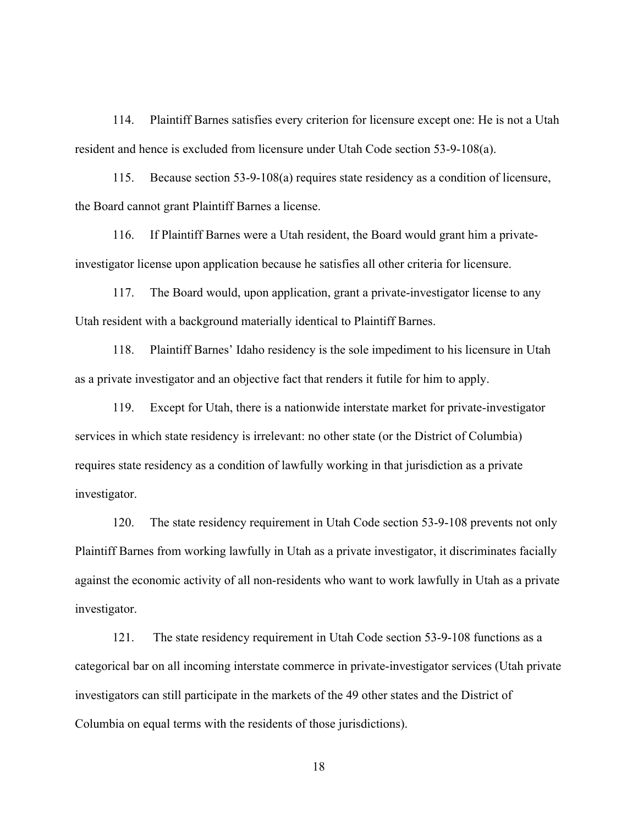114. Plaintiff Barnes satisfies every criterion for licensure except one: He is not a Utah resident and hence is excluded from licensure under Utah Code section 53-9-108(a).

115. Because section 53-9-108(a) requires state residency as a condition of licensure, the Board cannot grant Plaintiff Barnes a license.

116. If Plaintiff Barnes were a Utah resident, the Board would grant him a privateinvestigator license upon application because he satisfies all other criteria for licensure.

117. The Board would, upon application, grant a private-investigator license to any Utah resident with a background materially identical to Plaintiff Barnes.

118. Plaintiff Barnes' Idaho residency is the sole impediment to his licensure in Utah as a private investigator and an objective fact that renders it futile for him to apply.

119. Except for Utah, there is a nationwide interstate market for private-investigator services in which state residency is irrelevant: no other state (or the District of Columbia) requires state residency as a condition of lawfully working in that jurisdiction as a private investigator.

120. The state residency requirement in Utah Code section 53-9-108 prevents not only Plaintiff Barnes from working lawfully in Utah as a private investigator, it discriminates facially against the economic activity of all non-residents who want to work lawfully in Utah as a private investigator.

121. The state residency requirement in Utah Code section 53-9-108 functions as a categorical bar on all incoming interstate commerce in private-investigator services (Utah private investigators can still participate in the markets of the 49 other states and the District of Columbia on equal terms with the residents of those jurisdictions).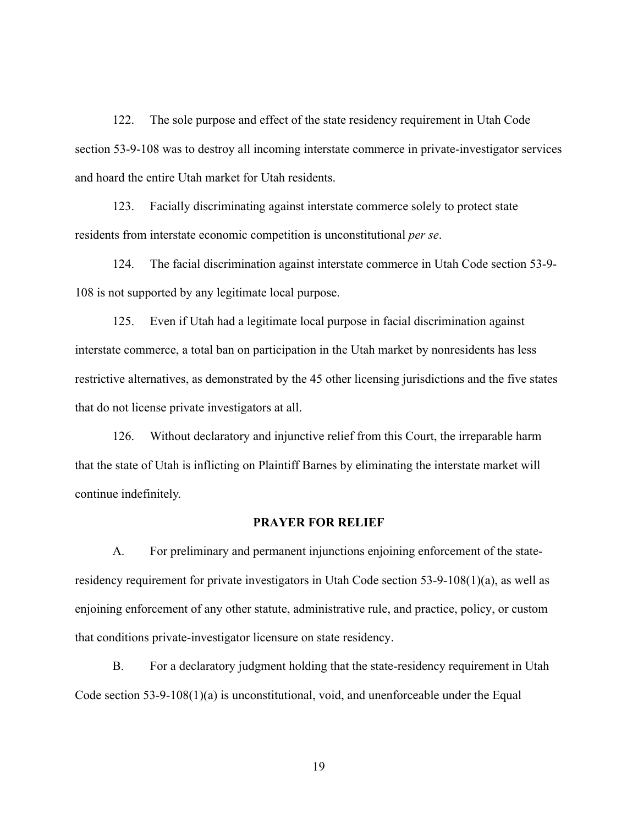122. The sole purpose and effect of the state residency requirement in Utah Code section 53-9-108 was to destroy all incoming interstate commerce in private-investigator services and hoard the entire Utah market for Utah residents.

123. Facially discriminating against interstate commerce solely to protect state residents from interstate economic competition is unconstitutional *per se*.

124. The facial discrimination against interstate commerce in Utah Code section 53-9- 108 is not supported by any legitimate local purpose.

125. Even if Utah had a legitimate local purpose in facial discrimination against interstate commerce, a total ban on participation in the Utah market by nonresidents has less restrictive alternatives, as demonstrated by the 45 other licensing jurisdictions and the five states that do not license private investigators at all.

126. Without declaratory and injunctive relief from this Court, the irreparable harm that the state of Utah is inflicting on Plaintiff Barnes by eliminating the interstate market will continue indefinitely.

## **PRAYER FOR RELIEF**

A. For preliminary and permanent injunctions enjoining enforcement of the stateresidency requirement for private investigators in Utah Code section 53-9-108(1)(a), as well as enjoining enforcement of any other statute, administrative rule, and practice, policy, or custom that conditions private-investigator licensure on state residency.

B. For a declaratory judgment holding that the state-residency requirement in Utah Code section  $53-9-108(1)(a)$  is unconstitutional, void, and unenforceable under the Equal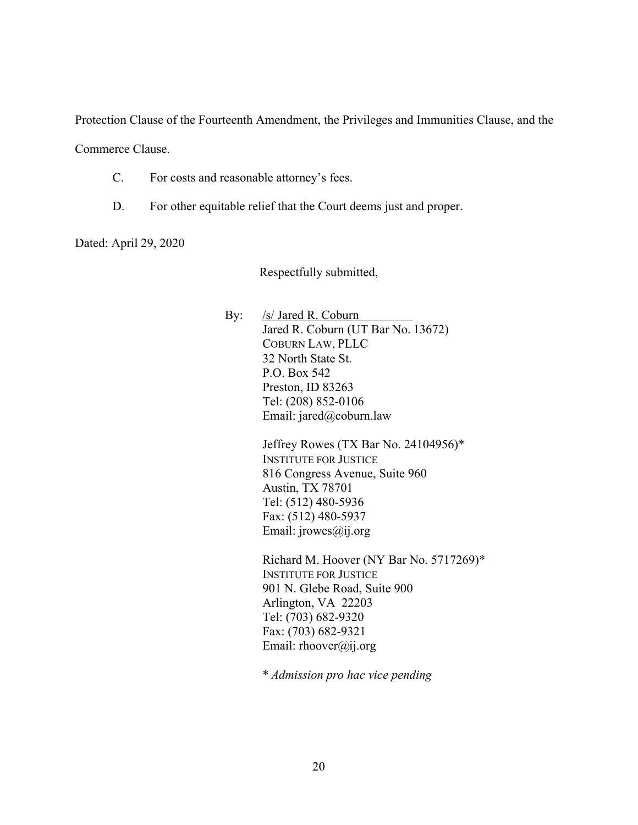Protection Clause of the Fourteenth Amendment, the Privileges and Immunities Clause, and the

Commerce Clause.

- C. For costs and reasonable attorney's fees.
- D. For other equitable relief that the Court deems just and proper.

Dated: April 29, 2020

Respectfully submitted,

By: /s/ Jared R. Coburn Jared R. Coburn (UT Bar No. 13672) COBURN LAW, PLLC 32 North State St. P.O. Box 542 Preston, ID 83263 Tel: (208) 852-0106 Email: jared@coburn.law

> Jeffrey Rowes (TX Bar No. 24104956)\* INSTITUTE FOR JUSTICE 816 Congress Avenue, Suite 960 Austin, TX 78701 Tel: (512) 480-5936 Fax: (512) 480-5937 Email: jrowes@ij.org

Richard M. Hoover (NY Bar No. 5717269)\* INSTITUTE FOR JUSTICE 901 N. Glebe Road, Suite 900 Arlington, VA 22203 Tel: (703) 682-9320 Fax: (703) 682-9321 Email: rhoover@ij.org

\* *Admission pro hac vice pending*